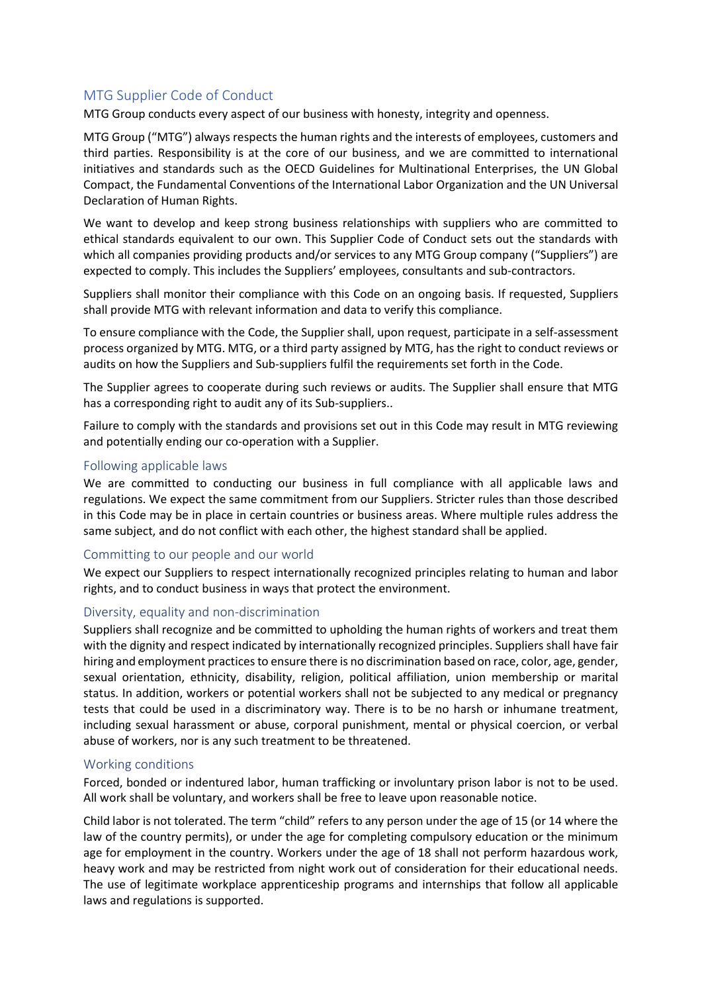# MTG Supplier Code of Conduct

MTG Group conducts every aspect of our business with honesty, integrity and openness.

MTG Group ("MTG") always respects the human rights and the interests of employees, customers and third parties. Responsibility is at the core of our business, and we are committed to international initiatives and standards such as the OECD Guidelines for Multinational Enterprises, the UN Global Compact, the Fundamental Conventions of the International Labor Organization and the UN Universal Declaration of Human Rights.

We want to develop and keep strong business relationships with suppliers who are committed to ethical standards equivalent to our own. This Supplier Code of Conduct sets out the standards with which all companies providing products and/or services to any MTG Group company ("Suppliers") are expected to comply. This includes the Suppliers' employees, consultants and sub-contractors.

Suppliers shall monitor their compliance with this Code on an ongoing basis. If requested, Suppliers shall provide MTG with relevant information and data to verify this compliance.

To ensure compliance with the Code, the Supplier shall, upon request, participate in a self-assessment process organized by MTG. MTG, or a third party assigned by MTG, has the right to conduct reviews or audits on how the Suppliers and Sub-suppliers fulfil the requirements set forth in the Code.

The Supplier agrees to cooperate during such reviews or audits. The Supplier shall ensure that MTG has a corresponding right to audit any of its Sub-suppliers..

Failure to comply with the standards and provisions set out in this Code may result in MTG reviewing and potentially ending our co-operation with a Supplier.

# Following applicable laws

We are committed to conducting our business in full compliance with all applicable laws and regulations. We expect the same commitment from our Suppliers. Stricter rules than those described in this Code may be in place in certain countries or business areas. Where multiple rules address the same subject, and do not conflict with each other, the highest standard shall be applied.

# Committing to our people and our world

We expect our Suppliers to respect internationally recognized principles relating to human and labor rights, and to conduct business in ways that protect the environment.

# Diversity, equality and non-discrimination

Suppliers shall recognize and be committed to upholding the human rights of workers and treat them with the dignity and respect indicated by internationally recognized principles. Suppliers shall have fair hiring and employment practices to ensure there is no discrimination based on race, color, age, gender, sexual orientation, ethnicity, disability, religion, political affiliation, union membership or marital status. In addition, workers or potential workers shall not be subjected to any medical or pregnancy tests that could be used in a discriminatory way. There is to be no harsh or inhumane treatment, including sexual harassment or abuse, corporal punishment, mental or physical coercion, or verbal abuse of workers, nor is any such treatment to be threatened.

# Working conditions

Forced, bonded or indentured labor, human trafficking or involuntary prison labor is not to be used. All work shall be voluntary, and workers shall be free to leave upon reasonable notice.

Child labor is not tolerated. The term "child" refers to any person under the age of 15 (or 14 where the law of the country permits), or under the age for completing compulsory education or the minimum age for employment in the country. Workers under the age of 18 shall not perform hazardous work, heavy work and may be restricted from night work out of consideration for their educational needs. The use of legitimate workplace apprenticeship programs and internships that follow all applicable laws and regulations is supported.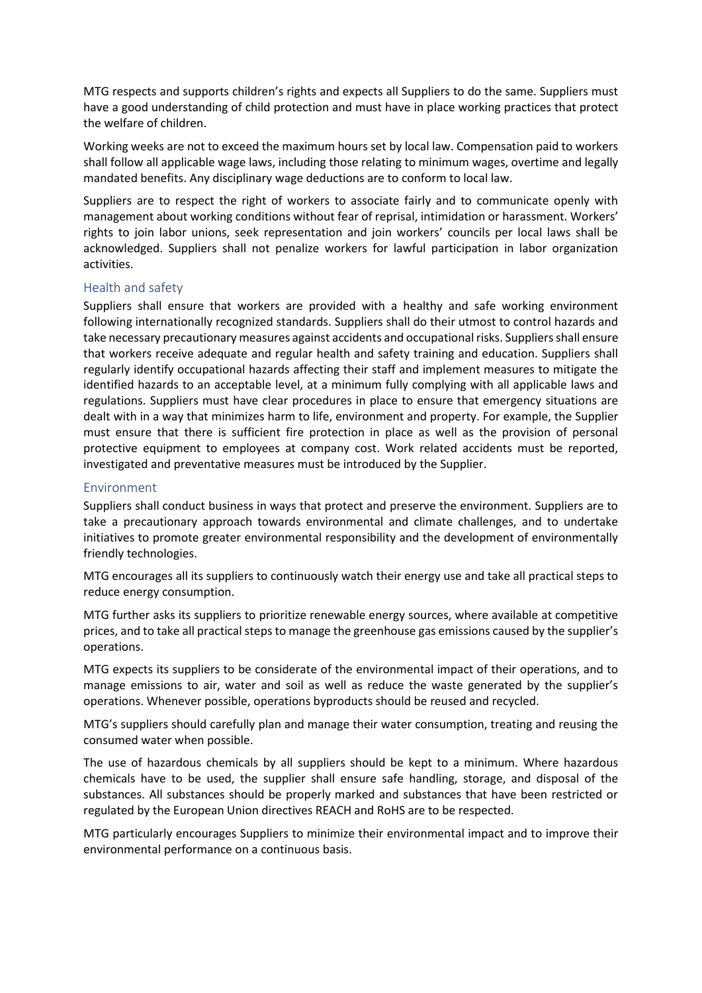MTG respects and supports children's rights and expects all Suppliers to do the same. Suppliers must have a good understanding of child protection and must have in place working practices that protect the welfare of children.

Working weeks are not to exceed the maximum hours set by local law. Compensation paid to workers shall follow all applicable wage laws, including those relating to minimum wages, overtime and legally mandated benefits. Any disciplinary wage deductions are to conform to local law.

Suppliers are to respect the right of workers to associate fairly and to communicate openly with management about working conditions without fear of reprisal, intimidation or harassment. Workers' rights to join labor unions, seek representation and join workers' councils per local laws shall be acknowledged. Suppliers shall not penalize workers for lawful participation in labor organization activities.

# Health and safety

Suppliers shall ensure that workers are provided with a healthy and safe working environment following internationally recognized standards. Suppliers shall do their utmost to control hazards and take necessary precautionary measures against accidents and occupational risks. Suppliers shall ensure that workers receive adequate and regular health and safety training and education. Suppliers shall regularly identify occupational hazards affecting their staff and implement measures to mitigate the identified hazards to an acceptable level, at a minimum fully complying with all applicable laws and regulations. Suppliers must have clear procedures in place to ensure that emergency situations are dealt with in a way that minimizes harm to life, environment and property. For example, the Supplier must ensure that there is sufficient fire protection in place as well as the provision of personal protective equipment to employees at company cost. Work related accidents must be reported, investigated and preventative measures must be introduced by the Supplier.

# Environment

Suppliers shall conduct business in ways that protect and preserve the environment. Suppliers are to take a precautionary approach towards environmental and climate challenges, and to undertake initiatives to promote greater environmental responsibility and the development of environmentally friendly technologies.

MTG encourages all its suppliers to continuously watch their energy use and take all practical steps to reduce energy consumption.

MTG further asks its suppliers to prioritize renewable energy sources, where available at competitive prices, and to take all practical steps to manage the greenhouse gas emissions caused by the supplier's operations.

MTG expects its suppliers to be considerate of the environmental impact of their operations, and to manage emissions to air, water and soil as well as reduce the waste generated by the supplier's operations. Whenever possible, operations byproducts should be reused and recycled.

MTG's suppliers should carefully plan and manage their water consumption, treating and reusing the consumed water when possible.

The use of hazardous chemicals by all suppliers should be kept to a minimum. Where hazardous chemicals have to be used, the supplier shall ensure safe handling, storage, and disposal of the substances. All substances should be properly marked and substances that have been restricted or regulated by the European Union directives REACH and RoHS are to be respected.

MTG particularly encourages Suppliers to minimize their environmental impact and to improve their environmental performance on a continuous basis.